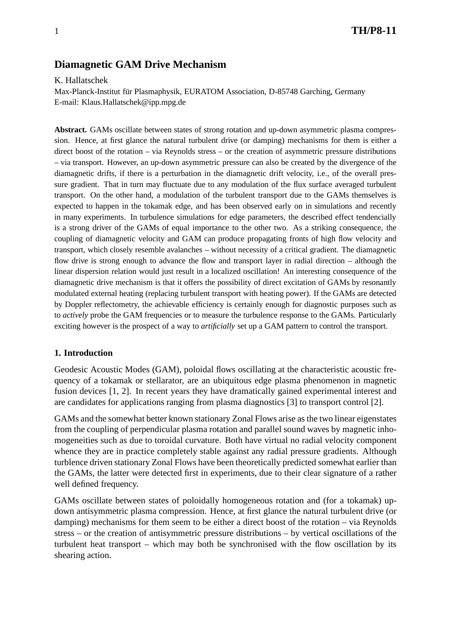# **Diamagnetic GAM Drive Mechanism**

K. Hallatschek

Max-Planck-Institut für Plasmaphysik, EURATOM Association, D-85748 Garching, Germany E-mail: Klaus.Hallatschek@ipp.mpg.de

**Abstract.** GAMs oscillate between states of strong rotation and up-down asymmetric plasma compression. Hence, at first glance the natural turbulent drive (or damping) mechanisms for them is either a direct boost of the rotation – via Reynolds stress – or the creation of asymmetric pressure distributions – via transport. However, an up-down asymmetric pressure can also be created by the divergence of the diamagnetic drifts, if there is a perturbation in the diamagnetic drift velocity, i.e., of the overall pressure gradient. That in turn may fluctuate due to any modulation of the flux surface averaged turbulent transport. On the other hand, a modulation of the turbulent transport due to the GAMs themselves is expected to happen in the tokamak edge, and has been observed early on in simulations and recently in many experiments. In turbulence simulations for edge parameters, the described effect tendencially is a strong driver of the GAMs of equal importance to the other two. As a striking consequence, the coupling of diamagnetic velocity and GAM can produce propagating fronts of high flow velocity and transport, which closely resemble avalanches – without necessity of a critical gradient. The diamagnetic flow drive is strong enough to advance the flow and transport layer in radial direction – although the linear dispersion relation would just result in a localized oscillation! An interesting consequence of the diamagnetic drive mechanism is that it offers the possibility of direct excitation of GAMs by resonantly modulated external heating (replacing turbulent transport with heating power). If the GAMs are detected by Doppler reflectometry, the achievable efficiency is certainly enough for diagnostic purposes such as to *actively* probe the GAM frequencies or to measure the turbulence response to the GAMs. Particularly exciting however is the prospect of a way to *artificially* set up a GAM pattern to control the transport.

#### **1. Introduction**

Geodesic Acoustic Modes (GAM), poloidal flows oscillating at the characteristic acoustic frequency of a tokamak or stellarator, are an ubiquitous edge plasma phenomenon in magnetic fusion devices [1, 2]. In recent years they have dramatically gained experimental interest and are candidates for applications ranging from plasma diagnostics [3] to transport control [2].

GAMs and the somewhat better known stationary Zonal Flows arise as the two linear eigenstates from the coupling of perpendicular plasma rotation and parallel sound waves by magnetic inhomogeneities such as due to toroidal curvature. Both have virtual no radial velocity component whence they are in practice completely stable against any radial pressure gradients. Although turblence driven stationary Zonal Flows have been theoretically predicted somewhat earlier than the GAMs, the latter were detected first in experiments, due to their clear signature of a rather well defined frequency.

GAMs oscillate between states of poloidally homogeneous rotation and (for a tokamak) updown antisymmetric plasma compression. Hence, at first glance the natural turbulent drive (or damping) mechanisms for them seem to be either a direct boost of the rotation – via Reynolds stress – or the creation of antisymmetric pressure distributions – by vertical oscillations of the turbulent heat transport – which may both be synchronised with the flow oscillation by its shearing action.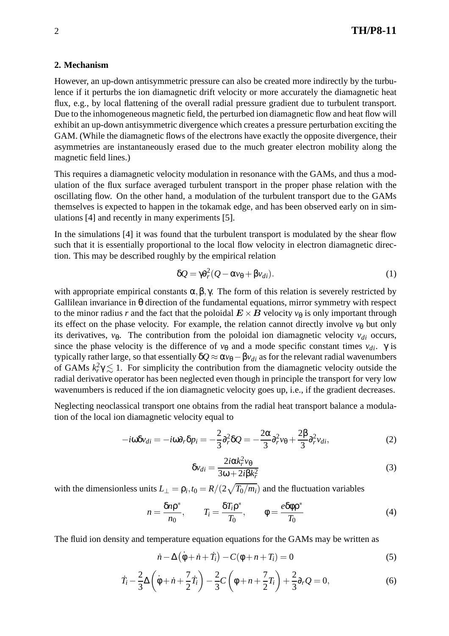### **2. Mechanism**

However, an up-down antisymmetric pressure can also be created more indirectly by the turbulence if it perturbs the ion diamagnetic drift velocity or more accurately the diamagnetic heat flux, e.g., by local flattening of the overall radial pressure gradient due to turbulent transport. Due to the inhomogeneous magnetic field, the perturbed ion diamagnetic flow and heat flow will exhibit an up-down antisymmetric divergence which creates a pressure perturbation exciting the GAM. (While the diamagnetic flows of the electrons have exactly the opposite divergence, their asymmetries are instantaneously erased due to the much greater electron mobility along the magnetic field lines.)

This requires a diamagnetic velocity modulation in resonance with the GAMs, and thus a modulation of the flux surface averaged turbulent transport in the proper phase relation with the oscillating flow. On the other hand, a modulation of the turbulent transport due to the GAMs themselves is expected to happen in the tokamak edge, and has been observed early on in simulations [4] and recently in many experiments [5].

In the simulations [4] it was found that the turbulent transport is modulated by the shear flow such that it is essentially proportional to the local flow velocity in electron diamagnetic direction. This may be described roughly by the empirical relation

$$
\delta Q = \gamma \partial_r^2 (Q - \alpha v_\theta + \beta v_{di}). \tag{1}
$$

with appropriate empirical constants  $\alpha, \beta, \gamma$ . The form of this relation is severely restricted by Gallilean invariance in θ direction of the fundamental equations, mirror symmetry with respect to the minor radius *r* and the fact that the poloidal  $E \times B$  velocity  $v_{\theta}$  is only important through its effect on the phase velocity. For example, the relation cannot directly involve  $v_{\theta}$  but only its derivatives,  $v_{\theta}$ . The contribution from the poloidal ion diamagnetic velocity  $v_{di}$  occurs, since the phase velocity is the difference of  $v_{\theta}$  and a mode specific constant times  $v_{di}$ . γ is typically rather large, so that essentially  $\delta Q \approx \alpha v_\theta - \beta v_{di}$  as for the relevant radial wavenumbers of GAMs  $k_r^2 \gamma \lesssim 1$ . For simplicity the contribution from the diamagnetic velocity outside the radial derivative operator has been neglected even though in principle the transport for very low wavenumbers is reduced if the ion diamagnetic velocity goes up, i.e., if the gradient decreases.

Neglecting neoclassical transport one obtains from the radial heat transport balance a modulation of the local ion diamagnetic velocity equal to

$$
-i\omega\delta v_{di} = -i\omega\partial_r\delta p_i = -\frac{2}{3}\partial_r^2\delta Q = -\frac{2\alpha}{3}\partial_r^2v_{\theta} + \frac{2\beta}{3}\partial_r^2v_{di},\tag{2}
$$

$$
\delta v_{di} = \frac{2i\alpha k_r^2 v_\theta}{3\omega + 2i\beta k_r^2}
$$
 (3)

with the dimensionless units  $L_{\perp} = \rho_i$ ,  $t_0 = R/(2\sqrt{T_0/m_i})$  and the fluctuation variables

$$
n = \frac{\delta n \rho^*}{n_0}, \qquad T_i = \frac{\delta T_i \rho^*}{T_0}, \qquad \phi = \frac{e \delta \phi \rho^*}{T_0}
$$
(4)

The fluid ion density and temperature equation equations for the GAMs may be written as

$$
\dot{n} - \Delta \left(\dot{\phi} + \dot{n} + \dot{T}_i\right) - C(\phi + n + T_i) = 0\tag{5}
$$

$$
\dot{T}_i - \frac{2}{3}\Delta\left(\dot{\phi} + \dot{n} + \frac{7}{2}\dot{T}_i\right) - \frac{2}{3}C\left(\phi + n + \frac{7}{2}T_i\right) + \frac{2}{3}\partial_r Q = 0,
$$
\n(6)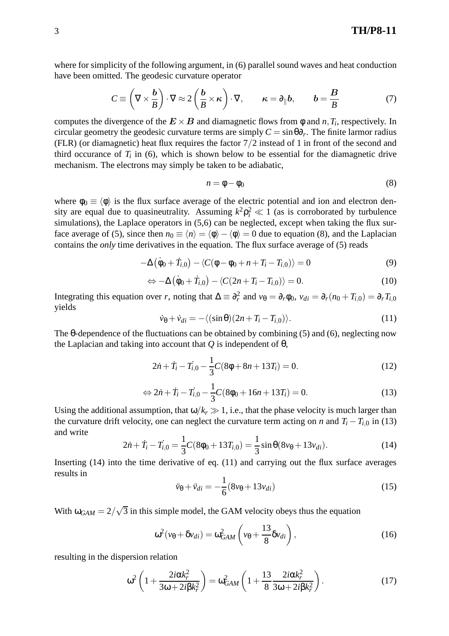3 **TH/P8-11**

where for simplicity of the following argument, in (6) parallel sound waves and heat conduction have been omitted. The geodesic curvature operator

$$
C \equiv \left(\nabla \times \frac{\boldsymbol{b}}{B}\right) \cdot \nabla \approx 2\left(\frac{\boldsymbol{b}}{B} \times \boldsymbol{\kappa}\right) \cdot \nabla, \qquad \boldsymbol{\kappa} = \partial_{\parallel} \boldsymbol{b}, \qquad \boldsymbol{b} = \frac{B}{B} \tag{7}
$$

computes the divergence of the  $E \times B$  and diamagnetic flows from  $\phi$  and *n*, *T<sub>i</sub>*, respectively. In circular geometry the geodesic curvature terms are simply  $C = \sin \theta \partial_r$ . The finite larmor radius (FLR) (or diamagnetic) heat flux requires the factor 7/2 instead of 1 in front of the second and third occurance of  $T_i$  in (6), which is shown below to be essential for the diamagnetic drive mechanism. The electrons may simply be taken to be adiabatic,

$$
n = \phi - \phi_0 \tag{8}
$$

where  $\phi_0 \equiv \langle \phi \rangle$  is the flux surface average of the electric potential and ion and electron density are equal due to quasineutrality. Assuming  $k^2 \rho_i^2 \ll 1$  (as is corroborated by turbulence simulations), the Laplace operators in  $(5,6)$  can be neglected, except when taking the flux surface average of (5), since then  $n_0 \equiv \langle n \rangle - \langle \phi \rangle - \langle \phi \rangle = 0$  due to equation (8), and the Laplacian contains the *only* time derivatives in the equation. The flux surface average of (5) reads

$$
-\Delta(\dot{\phi}_0 + \dot{T}_{i,0}) - \langle C(\phi - \phi_0 + n + T_i - T_{i,0}) \rangle = 0
$$
\n(9)

$$
\Leftrightarrow -\Delta\left(\dot{\phi}_0 + \dot{T}_{i,0}\right) - \langle C(2n + T_i - T_{i,0})\rangle = 0. \tag{10}
$$

Integrating this equation over *r*, noting that  $\Delta \equiv \partial_r^2$  and  $v_\theta = \partial_r \phi_0$ ,  $v_{di} = \partial_r (n_0 + T_{i,0}) = \partial_r T_{i,0}$ yields

$$
\dot{v}_{\theta} + \dot{v}_{di} = -\langle (\sin \theta)(2n + T_i - T_{i,0}) \rangle.
$$
 (11)

The θ-dependence of the fluctuations can be obtained by combining (5) and (6), neglecting now the Laplacian and taking into account that *Q* is independent of θ,

$$
2\dot{n} + \dot{T}_i - \dot{T}_{i,0} - \frac{1}{3}C(8\phi + 8n + 13T_i) = 0.
$$
 (12)

$$
\Leftrightarrow 2\dot{n} + \dot{T}_i - \dot{T}_{i,0} - \frac{1}{3}C(8\phi_0 + 16n + 13T_i) = 0.
$$
 (13)

Using the additional assumption, that  $\omega/k_r \gg 1$ , i.e., that the phase velocity is much larger than the curvature drift velocity, one can neglect the curvature term acting on *n* and  $T_i - T_{i,0}$  in (13) and write

$$
2\dot{n} + \dot{T}_i - \dot{T}_{i,0} = \frac{1}{3}C(8\phi_0 + 13T_{i,0}) = \frac{1}{3}\sin\theta(8\nu_\theta + 13\nu_{di}).
$$
\n(14)

Inserting (14) into the time derivative of eq. (11) and carrying out the flux surface averages results in

$$
\ddot{v}_{\theta} + \ddot{v}_{di} = -\frac{1}{6} (8v_{\theta} + 13v_{di})
$$
\n(15)

With  $\omega_{GAM} = 2/\sqrt{3}$  in this simple model, the GAM velocity obeys thus the equation

$$
\omega^2(\nu_\theta + \delta \nu_{di}) = \omega_{GAM}^2 \left(\nu_\theta + \frac{13}{8} \delta \nu_{di}\right),\tag{16}
$$

resulting in the dispersion relation

$$
\omega^2 \left( 1 + \frac{2i\alpha k_r^2}{3\omega + 2i\beta k_r^2} \right) = \omega_{GAM}^2 \left( 1 + \frac{13}{8} \frac{2i\alpha k_r^2}{3\omega + 2i\beta k_r^2} \right). \tag{17}
$$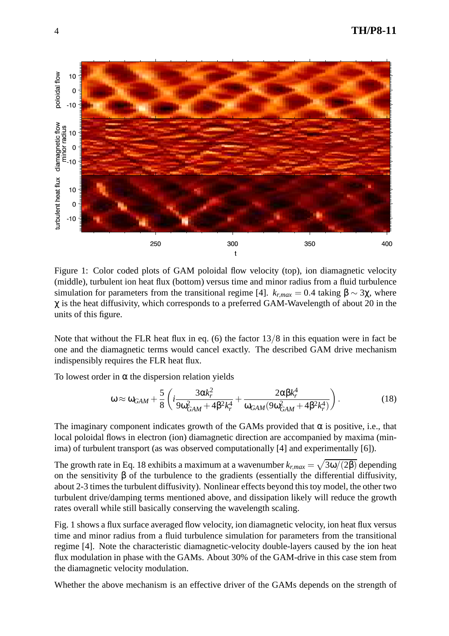

Figure 1: Color coded plots of GAM poloidal flow velocity (top), ion diamagnetic velocity (middle), turbulent ion heat flux (bottom) versus time and minor radius from a fluid turbulence simulation for parameters from the transitional regime [4].  $k_{r,max} = 0.4$  taking  $β \sim 3χ$ , where  $\chi$  is the heat diffusivity, which corresponds to a preferred GAM-Wavelength of about 20 in the units of this figure.

Note that without the FLR heat flux in eq. (6) the factor  $13/8$  in this equation were in fact be one and the diamagnetic terms would cancel exactly. The described GAM drive mechanism indispensibly requires the FLR heat flux.

To lowest order in  $\alpha$  the dispersion relation yields

$$
\omega \approx \omega_{GAM} + \frac{5}{8} \left( i \frac{3 \alpha k_r^2}{9 \omega_{GAM}^2 + 4 \beta^2 k_r^4} + \frac{2 \alpha \beta k_r^4}{\omega_{GAM} (9 \omega_{GAM}^2 + 4 \beta^2 k_r^4)} \right). \tag{18}
$$

The imaginary component indicates growth of the GAMs provided that  $\alpha$  is positive, i.e., that local poloidal flows in electron (ion) diamagnetic direction are accompanied by maxima (minima) of turbulent transport (as was observed computationally [4] and experimentally [6]).

The growth rate in Eq. 18 exhibits a maximum at a wavenumber  $k_{r,max} = \sqrt{3\omega/(2\beta)}$  depending on the sensitivity  $\beta$  of the turbulence to the gradients (essentially the differential diffusivity, about 2-3 times the turbulent diffusivity). Nonlinear effects beyond this toy model, the other two turbulent drive/damping terms mentioned above, and dissipation likely will reduce the growth rates overall while still basically conserving the wavelength scaling.

Fig. 1 shows a flux surface averaged flow velocity, ion diamagnetic velocity, ion heat flux versus time and minor radius from a fluid turbulence simulation for parameters from the transitional regime [4]. Note the characteristic diamagnetic-velocity double-layers caused by the ion heat flux modulation in phase with the GAMs. About 30% of the GAM-drive in this case stem from the diamagnetic velocity modulation.

Whether the above mechanism is an effective driver of the GAMs depends on the strength of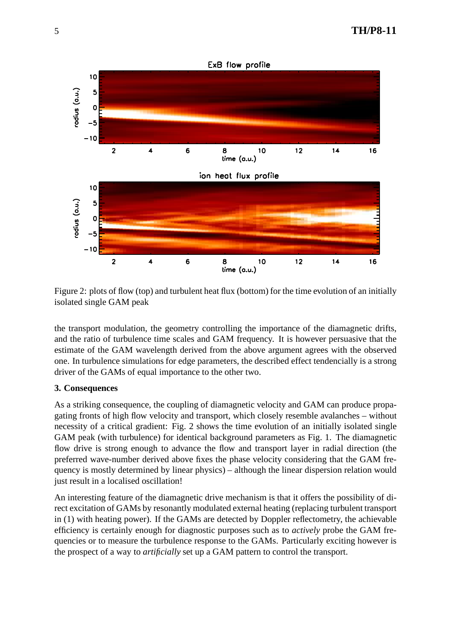

Figure 2: plots of flow (top) and turbulent heat flux (bottom) for the time evolution of an initially isolated single GAM peak

the transport modulation, the geometry controlling the importance of the diamagnetic drifts, and the ratio of turbulence time scales and GAM frequency. It is however persuasive that the estimate of the GAM wavelength derived from the above argument agrees with the observed one. In turbulence simulations for edge parameters, the described effect tendencially is a strong driver of the GAMs of equal importance to the other two.

### **3. Consequences**

As a striking consequence, the coupling of diamagnetic velocity and GAM can produce propagating fronts of high flow velocity and transport, which closely resemble avalanches – without necessity of a critical gradient: Fig. 2 shows the time evolution of an initially isolated single GAM peak (with turbulence) for identical background parameters as Fig. 1. The diamagnetic flow drive is strong enough to advance the flow and transport layer in radial direction (the preferred wave-number derived above fixes the phase velocity considering that the GAM frequency is mostly determined by linear physics) – although the linear dispersion relation would just result in a localised oscillation!

An interesting feature of the diamagnetic drive mechanism is that it offers the possibility of direct excitation of GAMs by resonantly modulated external heating (replacing turbulent transport in (1) with heating power). If the GAMs are detected by Doppler reflectometry, the achievable efficiency is certainly enough for diagnostic purposes such as to *actively* probe the GAM frequencies or to measure the turbulence response to the GAMs. Particularly exciting however is the prospect of a way to *artificially* set up a GAM pattern to control the transport.